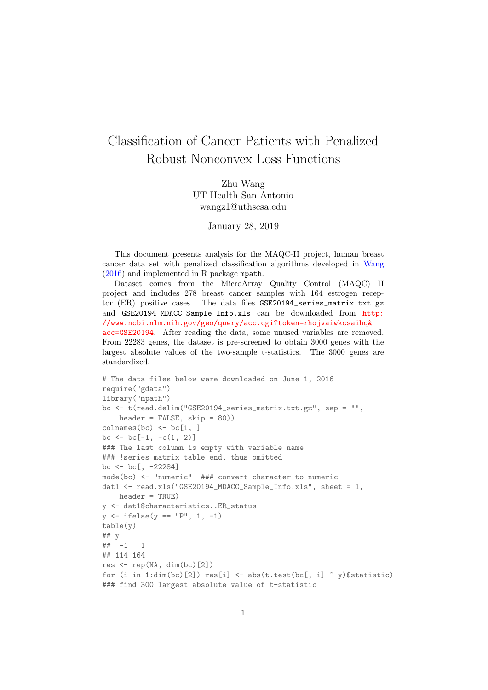# Classification of Cancer Patients with Penalized Robust Nonconvex Loss Functions

Zhu Wang UT Health San Antonio wangz1@uthscsa.edu

January 28, 2019

This document presents analysis for the MAQC-II project, human breast cancer data set with penalized classification algorithms developed in [Wang](#page-28-0) [\(2016\)](#page-28-0) and implemented in R package mpath.

Dataset comes from the MicroArray Quality Control (MAQC) II project and includes 278 breast cancer samples with 164 estrogen receptor (ER) positive cases. The data files GSE20194\_series\_matrix.txt.gz and GSE20194\_MDACC\_Sample\_Info.xls can be downloaded from [http:](http://www.ncbi.nlm.nih.gov/geo/query/acc.cgi?token=rhojvaiwkcsaihq&acc=GSE20194) [//www.ncbi.nlm.nih.gov/geo/query/acc.cgi?token=rhojvaiwkcsaihq&](http://www.ncbi.nlm.nih.gov/geo/query/acc.cgi?token=rhojvaiwkcsaihq&acc=GSE20194) [acc=GSE20194](http://www.ncbi.nlm.nih.gov/geo/query/acc.cgi?token=rhojvaiwkcsaihq&acc=GSE20194). After reading the data, some unused variables are removed. From 22283 genes, the dataset is pre-screened to obtain 3000 genes with the largest absolute values of the two-sample t-statistics. The 3000 genes are standardized.

```
# The data files below were downloaded on June 1, 2016
require("gdata")
library("mpath")
bc <- t(read.delim("GSE20194_series_matrix.txt.gz", sep = "",
    header = FALSE, skip = 80)\text{colnames}(\text{bc}) \leftarrow \text{bc}[1, ]bc \le bc [-1, -c(1, 2)]### The last column is empty with variable name
### !series_matrix_table_end, thus omitted
bc \leftarrow bc[, -22284]
mode(bc) <- "numeric" ### convert character to numeric
dat1 <- read.xls("GSE20194_MDACC_Sample_Info.xls", sheet = 1,
    header = TRUE)
y <- dat1$characteristics..ER_status
y \leftarrow ifelse(y == "P", 1, -1)
table(y)
## y
## -1 1
## 114 164
res <- rep(NA, dim(bc)[2])
for (i in 1:dim(bc)[2]) res[i] <- abs(t.test(bc[, i] \tilde{ } y)$statistic)
### find 300 largest absolute value of t-statistic
```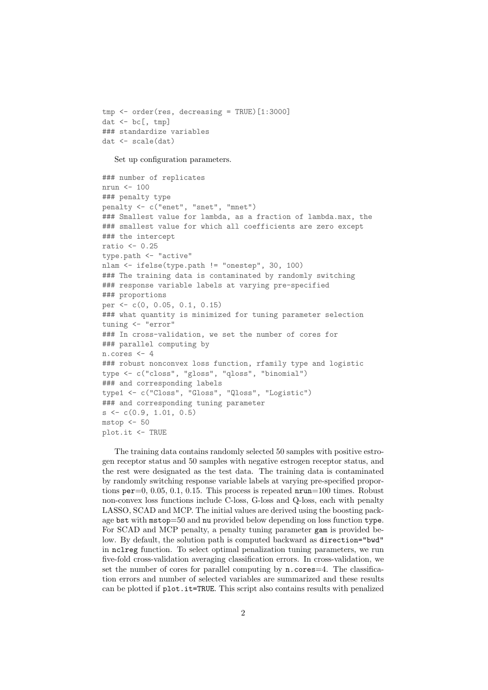```
tmp <- order(res, decreasing = TRUE)[1:3000]
dat \leftarrow bc[, tmp]
### standardize variables
dat <- scale(dat)
```
Set up configuration parameters.

```
### number of replicates
nrun <- 100
### penalty type
penalty <- c("enet", "snet", "mnet")
### Smallest value for lambda, as a fraction of lambda.max, the
### smallest value for which all coefficients are zero except
### the intercept
ratio <- 0.25
type.path <- "active"
nlam <- ifelse(type.path != "onestep", 30, 100)
### The training data is contaminated by randomly switching
### response variable labels at varying pre-specified
### proportions
per <- c(0, 0.05, 0.1, 0.15)
### what quantity is minimized for tuning parameter selection
tuning <- "error"
### In cross-validation, we set the number of cores for
### parallel computing by
n.cores <- 4
### robust nonconvex loss function, rfamily type and logistic
type <- c("closs", "gloss", "qloss", "binomial")
### and corresponding labels
type1 <- c("Closs", "Gloss", "Qloss", "Logistic")
### and corresponding tuning parameter
s <- c(0.9, 1.01, 0.5)
mstop \leftarrow 50plot.it <- TRUE
```
The training data contains randomly selected 50 samples with positive estrogen receptor status and 50 samples with negative estrogen receptor status, and the rest were designated as the test data. The training data is contaminated by randomly switching response variable labels at varying pre-specified proportions  $per=0$ , 0.05, 0.1, 0.15. This process is repeated  $nrun=100$  times. Robust non-convex loss functions include C-loss, G-loss and Q-loss, each with penalty LASSO, SCAD and MCP. The initial values are derived using the boosting package bst with mstop=50 and nu provided below depending on loss function type. For SCAD and MCP penalty, a penalty tuning parameter gam is provided below. By default, the solution path is computed backward as direction="bwd" in nclreg function. To select optimal penalization tuning parameters, we run five-fold cross-validation averaging classification errors. In cross-validation, we set the number of cores for parallel computing by  $n \cdot \text{cores}=4$ . The classification errors and number of selected variables are summarized and these results can be plotted if plot.it=TRUE. This script also contains results with penalized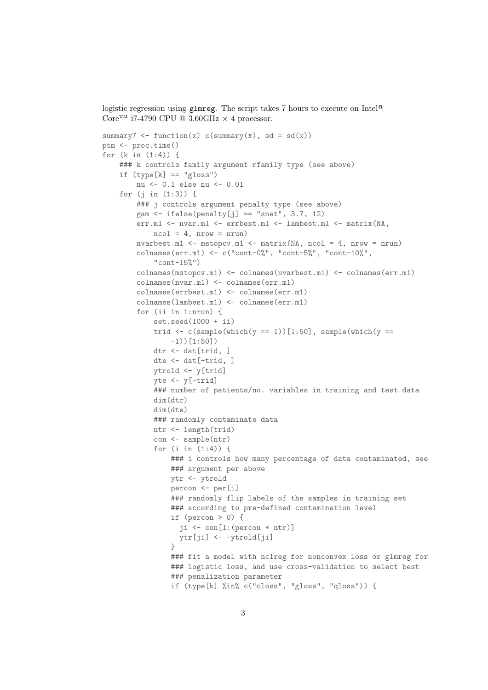logistic regression using glmreg. The script takes 7 hours to execute on Intel<sup>®</sup> Core<sup>TM</sup> i7-4790 CPU @ 3.60GHz  $\times$  4 processor.

```
summary7 <- function(x) c(summary(x), sd = sd(x))
ptm <- proc.time()
for (k in (1:4)) {
    ### k controls family argument rfamily type (see above)
    if (type[k] == "gloss")nu <- 0.1 else nu <- 0.01
    for (j in (1:3)) {
        ### j controls argument penalty type (see above)
        gam \le ifelse(penalty[j] == "snet", 3.7, 12)
        err.m1 <- nvar.m1 <- errbest.m1 <- lambest.m1 <- matrix(NA,
            ncol = 4, nrow = nrun)
        nvarbest.m1 <- mstopcv.m1 <- matrix(NA, ncol = 4, nrow = nrun)
        colnames(err.m1) <- c("cont-0%", "cont-5%", "cont-10%",
            "cont-15%")
        colnames(mstopcv.m1) <- colnames(nvarbest.m1) <- colnames(err.m1)
        colnames(nvar.m1) <- colnames(err.m1)
        colnames(errbest.m1) <- colnames(err.m1)
        colnames(lambest.m1) <- colnames(err.m1)
        for (ii in 1:nrun) {
            set.seed(1000 + ii)trid \leq c(sample(which(y == 1))[1:50], sample(which(y ==
                -1))[1:50])
            dtr <- dat[trid, ]
            dte <- dat[-trid, ]
            ytrold <- y[trid]
            yte <- y[-trid]
            ### number of patients/no. variables in training and test data
            dim(dtr)
            dim(dte)
            ### randomly contaminate data
            ntr <- length(trid)
            con <- sample(ntr)
            for (i in (1:4)) {
                ### i controls how many percentage of data contaminated, see
                ### argument per above
                ytr <- ytrold
                percon <- per[i]
                ### randomly flip labels of the samples in training set
                ### according to pre-defined contamination level
                if (percon > 0) {
                  ji <- con[1:(percon * ntr)]
                  ytr[ji] <- -ytrold[ji]
                \mathbf{I}### fit a model with nclreg for nonconvex loss or glmreg for
                ### logistic loss, and use cross-validation to select best
                ### penalization parameter
                if (type[k] %in% c("closs", "gloss", "qloss")) {
```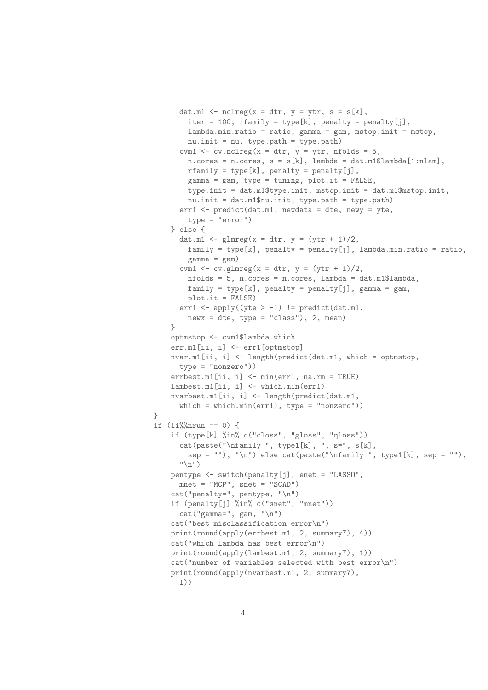```
dat.m1 <- nclreg(x = dtr, y = ytr, s = s[k],iter = 100, rfamily = type[k], penalty = penalty[j],
        lambda.min.ratio = ratio, gamma = gam, mstop.init = mstop,
        nu.init = nu, type.path = type.path)cvm1 \le cv.nclreg(x = dtr, y = ytr, nfolds = 5,
        n.corees = n.corees, s = s[k], lambda = dat.m1$lambda[1:nlam],rfamily = type[k], penalty = penalty[j],
        gamma = gamma = gam, type = tuning, plot.it = FALSE,
        type.init = dat.m1$type.init, mstop.init = dat.m1$mstop.init,
        nu.init = dat.m1$nu.init, type.path = type.path)
      err1 <- predict(dat.m1, newdata = dte, newy = yte,
       type = "error")
    } else {
      dat.m1 <- glmreg(x = dtr, y = (ytr + 1)/2,family = type[k], penalty = penalty[j], lambda.min.ratio = ratio,
        gamma = gam)
      cvm1 <- cv.glmreg(x = dtr, y = (ytr + 1)/2,
        nfolds = 5, n.cores = n.cores, lambda = dat.m1$lambda,
        family = type[k], penalty = penalty[j], gamma = gam,
        plot.it = FALSE)
      err1 <- apply((yte > -1) != predict(dat.m1,
        newx = dte, type = "class"), 2, mean)
    }
    optmstop <- cvm1$lambda.which
    err.m1[ii, i] <- err1[optmstop]
    nvar.m1[ii, i] <- length(predict(dat.m1, which = optmstop,
      type = "nonzero"))
    errbest.m1[ii, i] <- min(err1, na.rm = TRUE)
    lambest.m1[ii, i] <- which.min(err1)
    nvarbest.m1[ii, i] <- length(predict(dat.m1,
      which = which.min(err1), type = "nonzero"))
}
if (ii\%nrun == 0) {
    if (type[k] %in% c("closs", "gloss", "qloss"))
      cat(paste("\nfamily ", type1[k], ", s=", s[k],
        \text{sep} = \text{""}, "\n") else cat(paste("\nfamily ", type1[k], sep = ""),
      ''\n\langle n" \ranglepentype <- switch(penalty[j], enet = "LASSO",
      mnet = "MCP", snet = "SCAD")cat("penalty=", pentype, "\\n")if (penalty[j] %in% c("snet", "mnet"))
      cat("gamma=", gam, "\\n")cat("best misclassification error\n")
    print(round(apply(errbest.m1, 2, summary7), 4))
    cat("which lambda has best error\n")
    print(round(apply(lambest.m1, 2, summary7), 1))
    cat("number of variables selected with best error\n")
    print(round(apply(nvarbest.m1, 2, summary7),
      1))
```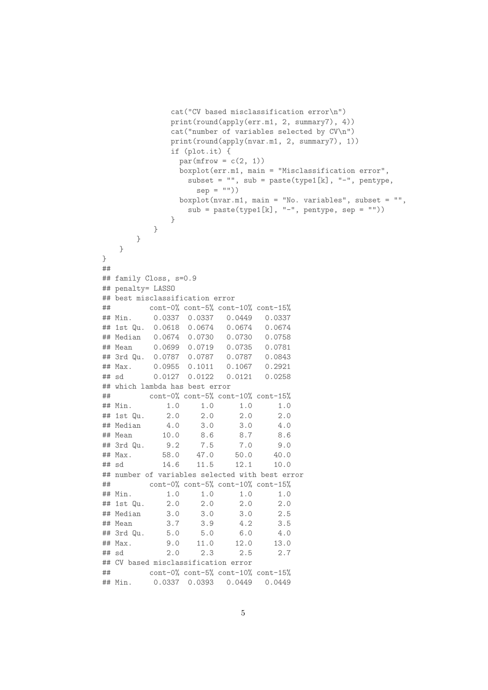```
cat("CV based misclassification error\n")
             print(round(apply(err.m1, 2, summary7), 4))
             cat("number of variables selected by CV\nu")print(round(apply(nvar.m1, 2, summary7), 1))
             if (plot.it) {
              par(mfrow = c(2, 1))boxplot(err.m1, main = "Misclassification error",
                subset = ", sub = paste(type1[k], "-", pentype,
                 sep = "")boxplot(nvar.m1, main = "No. variables", subset = "".sub = paste(type1[k], "-", pentype, sep = ""))}
         }
      }
   }
}
##
## family Closs, s=0.9
## penalty= LASSO
## best misclassification error
## cont-0% cont-5% cont-10% cont-15%
## Min. 0.0337 0.0337 0.0449 0.0337
## 1st Qu. 0.0618 0.0674 0.0674 0.0674
## Median 0.0674 0.0730 0.0730 0.0758
## Mean 0.0699 0.0719 0.0735 0.0781
## 3rd Qu. 0.0787 0.0787 0.0787 0.0843
## Max. 0.0955 0.1011 0.1067 0.2921
## sd 0.0127 0.0122 0.0121 0.0258
## which lambda has best error
## cont-0% cont-5% cont-10% cont-15%
## Min. 1.0 1.0 1.0 1.0
## 1st Qu. 2.0 2.0 2.0 2.0
## Median 4.0 3.0 3.0 4.0
## Mean 10.0 8.6 8.7<br>## 3rd Qu. 9.2 7.5 7.0
## 3rd Qu. 9.2 7.5 7.0 9.0
## Max. 58.0 47.0 50.0 40.0
## sd 14.6 11.5 12.1 10.0
## number of variables selected with best error
## cont-0% cont-5% cont-10% cont-15%
## Min. 1.0 1.0 1.0 1.0
## 1st Qu. 2.0 2.0 2.0 2.0
## Median 3.0 3.0 3.0 2.5
## Mean 3.7 3.9 4.2 3.5
## 3rd Qu. 5.0 5.0 6.0 4.0
## Max. 9.0 11.0 12.0 13.0
## sd 2.0 2.3 2.5 2.7
## CV based misclassification error
## cont-0% cont-5% cont-10% cont-15%
## Min. 0.0337 0.0393 0.0449 0.0449
```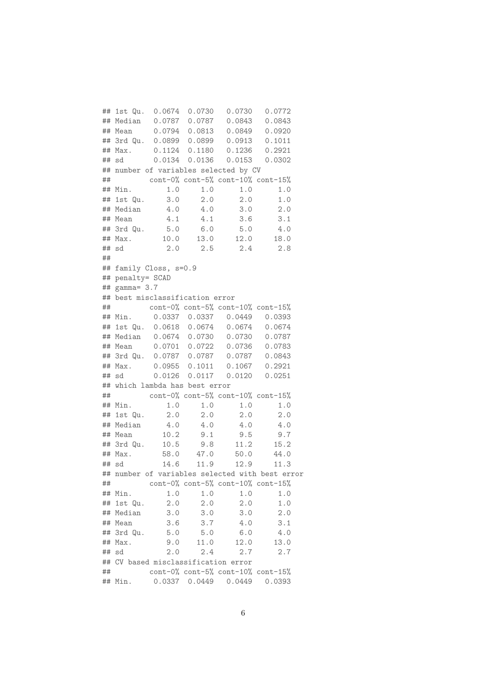## 1st Qu. 0.0674 0.0730 0.0730 0.0772 ## Median 0.0787 0.0787 0.0843 0.0843 ## Mean 0.0794 0.0813 0.0849 0.0920 ## 3rd Qu. 0.0899 0.0899 0.0913 0.1011 ## Max. 0.1124 0.1180 0.1236 0.2921 ## sd 0.0134 0.0136 0.0153 0.0302 ## number of variables selected by CV ## cont-0% cont-5% cont-10% cont-15% 1.0 1.0 1.0 1.0 ## 1st Qu. 3.0 2.0 2.0 1.0 ## Median 4.0 4.0 3.0 2.0 ## Mean 4.1 4.1 3.6 3.1<br>## 3rd Qu. 5.0 6.0 5.0 4.0 ## 3rd Qu. 5.0 6.0 5.0 4.0 ## Max. 10.0 13.0 12.0 18.0 ## sd 2.0 2.5 2.4 2.8 ## ## family Closs, s=0.9 ## penalty= SCAD ## gamma= 3.7 ## best misclassification error ## cont-0% cont-5% cont-10% cont-15% ## Min. 0.0337 0.0337 0.0449 0.0393 ## 1st Qu. 0.0618 0.0674 0.0674 0.0674 ## Median 0.0674 0.0730 0.0730 0.0787 ## Mean 0.0701 0.0722 0.0736 0.0783 ## 3rd Qu. 0.0787 0.0787 0.0787 0.0843 ## Max. 0.0955 0.1011 0.1067 0.2921 ## sd 0.0126 0.0117 0.0120 0.0251 ## which lambda has best error ## cont-0% cont-5% cont-10% cont-15% 4<br>
## Min. 1.0 1.0 1.0 1.0<br>
## 1st Qu. 2.0 2.0 2.0 2.0 ## 1st Qu. 2.0 2.0 2.0 2.0 ## Median 4.0 4.0 4.0 4.0 ## Mean 10.2 9.1 9.5 9.7 ## 3rd Qu. 10.5 9.8 11.2 15.2 47.0 50.0 44.0<br>11.9 12.9 11.3 ## sd 14.6 11.9 ## number of variables selected with best error  $cont-0$ % cont-5% cont-10% cont-15% ## Min. 1.0 1.0 1.0 1.0 ## 1st Qu. 2.0 2.0 2.0 1.0 ## Median 3.0 3.0 3.0 2.0 ## Mean 3.6 3.7 4.0 3.1 ## 3rd Qu. 5.0 5.0 6.0 4.0 ## Max. 9.0 11.0 12.0 13.0 ## sd 2.0 2.4 2.7 2.7 ## CV based misclassification error ## cont-0% cont-5% cont-10% cont-15% ## Min. 0.0337 0.0449 0.0449 0.0393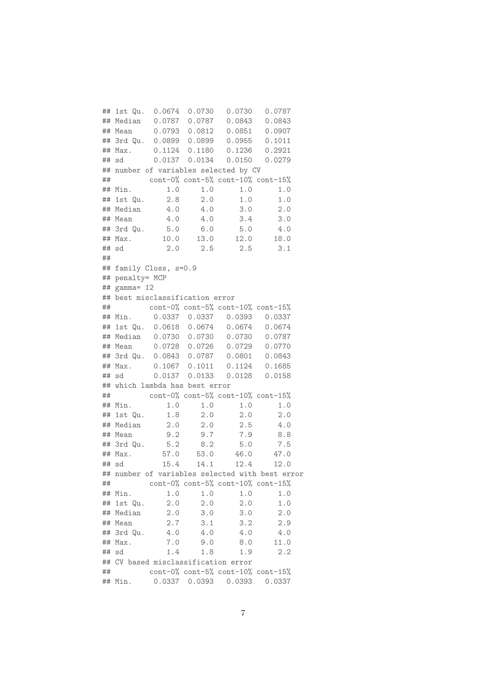## 1st Qu. 0.0674 0.0730 0.0730 0.0787 ## Median 0.0787 0.0787 0.0843 0.0843 ## Mean 0.0793 0.0812 0.0851 0.0907 ## 3rd Qu. 0.0899 0.0899 0.0955 0.1011 ## Max. 0.1124 0.1180 0.1236 0.2921 ## sd 0.0137 0.0134 0.0150 0.0279 ## number of variables selected by CV ## cont-0% cont-5% cont-10% cont-15% 1.0 1.0 1.0 1.0 ## 1st Qu. 2.8 2.0 1.0 1.0 ## Median 4.0 4.0 3.0 2.0 ## Mean 4.0 4.0 3.4 3.0<br>## 3rd Qu. 5.0 6.0 5.0 4.0 ## 3rd Qu. 5.0 6.0 5.0 4.0 ## Max. 10.0 13.0 12.0 18.0 ## sd 2.0 2.5 2.5 3.1 ## ## family Closs, s=0.9 ## penalty= MCP ## gamma= 12 ## best misclassification error ## cont-0% cont-5% cont-10% cont-15% ## Min. 0.0337 0.0337 0.0393 0.0337 ## 1st Qu. 0.0618 0.0674 0.0674 0.0674 ## Median 0.0730 0.0730 0.0730 0.0787 ## Mean 0.0728 0.0726 0.0729 0.0770 ## 3rd Qu. 0.0843 0.0787 0.0801 0.0843 ## Max. 0.1067 0.1011 0.1124 0.1685 ## sd 0.0137 0.0133 0.0128 0.0158 ## which lambda has best error ## cont-0% cont-5% cont-10% cont-15% 4 # Min. 1.0 1.0 1.0 1.0<br>
4 # 1st Qu. 1.8 2.0 2.0 2.0<br>
4 # Median 2.0 2.0 2.5 4.0 ## 1st Qu. 1.8 2.0 2.0 2.0 ## Median 2.0 2.0 2.5 4.0 ## Mean 9.2 9.7 7.9 8.8 ## 3rd Qu. 5.2 8.2 5.0 7.5 ## Max. 57.0 53.0 46.0 47.0  $\frac{11}{4}$  sd  $\frac{15.4}{14.1}$ ## number of variables selected with best error ## cont-0% cont-5% cont-10% cont-15% 1.0 1.0 1.0 1.0 ## 1st Qu. 2.0 2.0 2.0 1.0 ## Median 2.0 3.0 3.0 2.0 ## Mean 2.7 3.1 3.2 2.9<br>## 3rd Qu. 4.0 4.0 4.0 4.0 ## 3rd Qu. 4.0 4.0 4.0 4.0 ## Max. 7.0 9.0 8.0 11.0 ## sd 1.4 1.8 1.9 2.2 ## CV based misclassification error ## cont-0% cont-5% cont-10% cont-15% ## Min. 0.0337 0.0393 0.0393 0.0337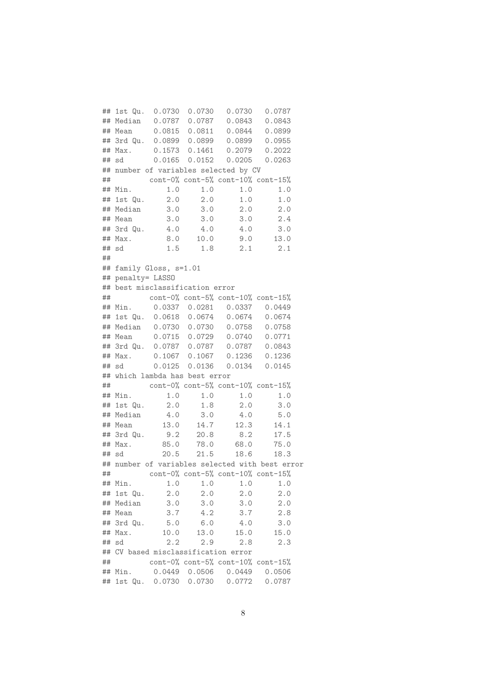## 1st Qu. 0.0730 0.0730 0.0730 0.0787 ## Median 0.0787 0.0787 0.0843 0.0843 ## Mean 0.0815 0.0811 0.0844 0.0899 ## 3rd Qu. 0.0899 0.0899 0.0899 0.0955 ## Max. 0.1573 0.1461 0.2079 0.2022 ## sd 0.0165 0.0152 0.0205 0.0263 ## number of variables selected by CV ## cont-0% cont-5% cont-10% cont-15% ## Min. 1.0 1.0 1.0 1.0 ## 1st Qu. 2.0 2.0 1.0 1.0 ## Median 3.0 3.0 2.0 2.0 ## Mean 3.0 3.0 3.0 2.4<br>## 3rd Qu. 4.0 4.0 4.0 3.0 ## 3rd Qu. 4.0 4.0 4.0 3.0 ## Max. 8.0 10.0 9.0 13.0 4.0 4.0 4.0 3.0<br>
## Max. 8.0 10.0 9.0 13.0<br>
## sd 1.5 1.8 2.1 2.1 ## ## family Gloss, s=1.01 ## penalty= LASSO ## best misclassification error ## cont-0% cont-5% cont-10% cont-15% ## Min. 0.0337 0.0281 0.0337 0.0449 ## 1st Qu. 0.0618 0.0674 0.0674 0.0674 ## Median 0.0730 0.0730 0.0758 0.0758 ## Mean 0.0715 0.0729 0.0740 0.0771 ## 3rd Qu. 0.0787 0.0787 0.0787 0.0843 ## Max. 0.1067 0.1067 0.1236 0.1236 ## sd 0.0125 0.0136 0.0134 0.0145 ## which lambda has best error ## cont-0% cont-5% cont-10% cont-15% 4<br>
# Min. 1.0 1.0 1.0 1.0<br>
4<br>
# 1st Qu. 2.0 1.8 2.0 3.0 ## 1st Qu. 2.0 1.8 2.0 3.0 ## Median 4.0 3.0 4.0 5.0 ## Mean 13.0 14.7 12.3 14.1 ## 3rd Qu. 9.2 20.8 8.2 17.5 ## Max. 85.0 78.0 68.0 75.0  $20.5$   $21.5$ ## number of variables selected with best error ## cont-0% cont-5% cont-10% cont-15% ## Min. 1.0 1.0 1.0 1.0 ## 1st Qu. 2.0 2.0 2.0 2.0 ## Median 3.0 3.0 3.0 2.0 ## Mean 3.7 4.2 3.7 2.8 ## 3rd Qu. 5.0 6.0 4.0 3.0 ## Max. 10.0 13.0 15.0 15.0 ## sd 2.2 2.9 2.8 2.3 ## CV based misclassification error ## cont-0% cont-5% cont-10% cont-15% ## Min. 0.0449 0.0506 0.0449 0.0506 ## 1st Qu. 0.0730 0.0730 0.0772 0.0787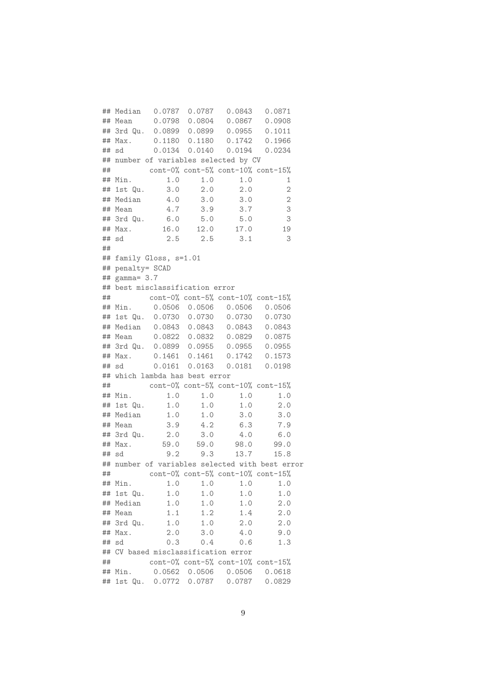## Median 0.0787 0.0787 0.0843 0.0871 ## Mean 0.0798 0.0804 0.0867 0.0908 ## 3rd Qu. 0.0899 0.0899 0.0955 0.1011 0.1180 0.1180 0.1742 0.1966 ## sd 0.0134 0.0140 0.0194 0.0234 ## number of variables selected by CV ## cont-0% cont-5% cont-10% cont-15% ## Min. 1.0 1.0 1.0 1 ## 1st Qu. 3.0 2.0 2.0 2 ## Median 4.0 3.0 3.0 2 ## Mean 4.7 3.9 3.7 3 ## 3rd Qu. 6.0 5.0 5.0 3 ## Max. 16.0 12.0 17.0 19 ## sd 2.5 2.5 3.1 3 ## ## family Gloss, s=1.01 ## penalty= SCAD ## gamma= 3.7 ## best misclassification error ## cont-0% cont-5% cont-10% cont-15% ## Min. 0.0506 0.0506 0.0506 0.0506 ## 1st Qu. 0.0730 0.0730 0.0730 0.0730 ## Median 0.0843 0.0843 0.0843 0.0843 ## Mean 0.0822 0.0832 0.0829 0.0875 ## 3rd Qu. 0.0899 0.0955 0.0955 0.0955 ## Max. 0.1461 0.1461 0.1742 0.1573 ## sd 0.0161 0.0163 0.0181 0.0198 ## which lambda has best error ## cont-0% cont-5% cont-10% cont-15% ## Min. 1.0 1.0 1.0 1.0 ## 1st Qu. 1.0 1.0 1.0 2.0 ## Median 1.0 1.0 3.0 3.0 ## Mean 3.9 4.2 6.3 7.9 ## 3rd Qu. 2.0 3.0 4.0 6.0 ## Max. 59.0 59.0 98.0 99.0 9.2 9.3 13.7 15.8 ## number of variables selected with best error ## cont-0% cont-5% cont-10% cont-15% ## Min. 1.0 1.0 1.0 1.0 ## 1st Qu. 1.0 1.0 1.0 1.0 ## Median 1.0 1.0 1.0 2.0 4<br>
## Mean 1.1 1.2 1.4 2.0<br>
## 3rd Qu. 1.0 1.0 2.0 2.0<br>
## Max. 2.0 3.0 4.0 9.0 ## 3rd Qu. 1.0 1.0 2.0 2.0 ## Max. 2.0 3.0 4.0 9.0 ## Max. <br>## sd 0.3 0.4 0.6 1.3 ## CV based misclassification error ## cont-0% cont-5% cont-10% cont-15% ## Min. 0.0562 0.0506 0.0506 0.0618 ## 1st Qu. 0.0772 0.0787 0.0787 0.0829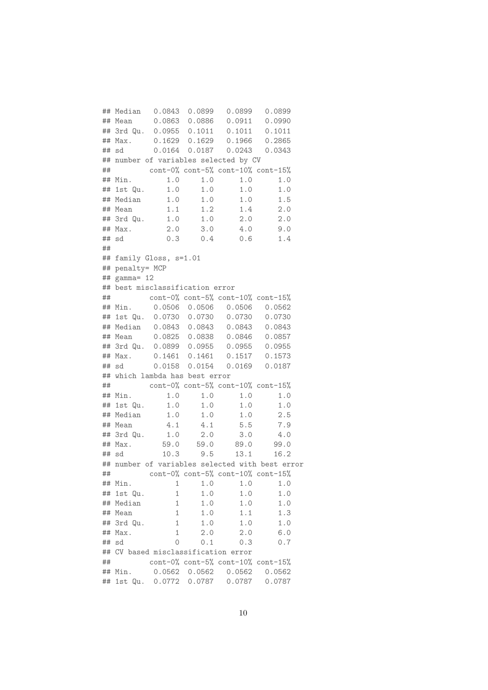## Median 0.0843 0.0899 0.0899 0.0899 ## Mean 0.0863 0.0886 0.0911 0.0990 ## 3rd Qu. 0.0955 0.1011 0.1011 0.1011 ## Max. 0.1629 0.1629 0.1966 0.2865 ## sd 0.0164 0.0187 0.0243 0.0343 ## number of variables selected by CV ## cont-0% cont-5% cont-10% cont-15% ## Min. 1.0 1.0 1.0 1.0 ## 1st Qu. 1.0 1.0 1.0 1.0 ## Median 1.0 1.0 1.0 1.5 ## Mean 1.1 1.2 1.4 2.0 ## 3rd Qu. 1.0 1.0 2.0 2.0 ## Max. 2.0 3.0 4.0 9.0 4 31 4.0<br>
## Max. 2.0 3.0 4.0 9.0<br>
## sd 0.3 0.4 0.6 1.4 ## ## family Gloss, s=1.01 ## penalty= MCP ## gamma= 12 ## best misclassification error ## cont-0% cont-5% cont-10% cont-15% ## Min. 0.0506 0.0506 0.0506 0.0562 ## 1st Qu. 0.0730 0.0730 0.0730 0.0730 ## Median 0.0843 0.0843 0.0843 0.0843 ## Mean 0.0825 0.0838 0.0846 0.0857 ## 3rd Qu. 0.0899 0.0955 0.0955 0.0955 ## Max. 0.1461 0.1461 0.1517 0.1573 ## sd 0.0158 0.0154 0.0169 0.0187 ## which lambda has best error ## cont-0% cont-5% cont-10% cont-15% 4 # Min. 1.0 1.0 1.0 1.0<br>
4 # 1st Qu. 1.0 1.0 1.0 1.0<br>
4 # Median 1.0 1.0 1.0 2.5 ## 1st Qu. 1.0 1.0 1.0 1.0 ## Median 1.0 1.0 1.0 2.5 ## Mean 4.1 4.1 5.5 7.9 ## 3rd Qu. 1.0 2.0 3.0 4.0 ## Max. 59.0 59.0 89.0 99.0  $10.3$   $9.5$   $13.1$   $16.2$ ## number of variables selected with best error ## cont-0% cont-5% cont-10% cont-15% ## Min. 1 1.0 1.0 1.0 ## 1st Qu. 1 1.0 1.0 1.0 ## Median 1 1.0 1.0 1.0 ## Mean 1 1.0 1.1 1.3 ## 3rd Qu. 1 1.0 1.0 1.0 ## Max. 1 2.0 2.0 6.0 ## sd 0 0.1 0.3 0.7 ## CV based misclassification error ## cont-0% cont-5% cont-10% cont-15% ## Min. 0.0562 0.0562 0.0562 0.0562 ## 1st Qu. 0.0772 0.0787 0.0787 0.0787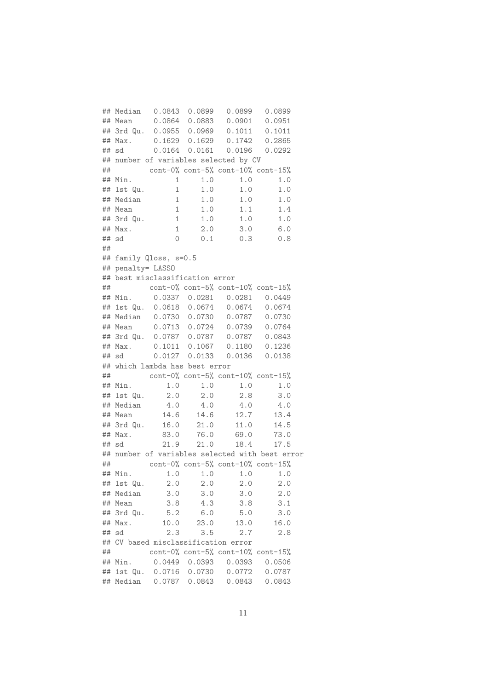## Median 0.0843 0.0899 0.0899 0.0899 ## Mean 0.0864 0.0883 0.0901 0.0951 ## 3rd Qu. 0.0955 0.0969 0.1011 0.1011 ## Max. 0.1629 0.1629 0.1742 0.2865 ## sd 0.0164 0.0161 0.0196 0.0292 ## number of variables selected by CV ## cont-0% cont-5% cont-10% cont-15% 4<br>  $#$ # Min.<br>  $#$  1st Qu. 1 1.0 1.0 1.0 ## 1st Qu. 1 1.0 1.0 1.0 ## Median 1 1.0 1.0 1.0 ## Mean 1 1.0 1.1 1.4 ## 3rd Qu. <br>## 3rd Qu. 1 1.0 1.0 1.0<br>## Max. 1 2.0 3.0 6.0  $#$ # Max.  $1 \t 2.0$ <br> $#$ # Max.  $1 \t 2.0$ <br> $#$  sd 0 0.1 4 51 4.<br>
## Max. 1 2.0 3.0 6.0<br>
## sd 0 0.1 0.3 0.8 ## ## family Qloss, s=0.5 ## penalty= LASSO ## best misclassification error ## cont-0% cont-5% cont-10% cont-15% ## Min. 0.0337 0.0281 0.0281 0.0449 ## 1st Qu. 0.0618 0.0674 0.0674 0.0674 ## Median 0.0730 0.0730 0.0787 0.0730 ## Mean 0.0713 0.0724 0.0739 0.0764 ## 3rd Qu. 0.0787 0.0787 0.0787 ## Max. 0.1011 0.1067 0.1180 0.1236 ## sd 0.0127 0.0133 0.0136 0.0138 ## which lambda has best error ## cont-0% cont-5% cont-10% cont-15% 4 # Min. 1.0 1.0 1.0 1.0<br>
4 # 1st Qu. 2.0 2.0 2.8 3.0<br>
4 # Median 4.0 4.0 4.0 4.0 ## 1st Qu. 2.0 2.0 2.8 3.0 ## Median 4.0 4.0 4.0 4.0 ## Mean 14.6 14.6 12.7 13.4 ## 3rd Qu. 16.0 21.0 11.0 14.5 ## Max. 83.0 76.0 69.0 73.0 21.9 21.0 18.4 17.5 ## number of variables selected with best error ## cont-0% cont-5% cont-10% cont-15% 44 Min. 1.0 1.0 1.0 1.0<br>44 1st Qu. 2.0 2.0 2.0 2.0 ## 1st Qu. 2.0 2.0 2.0 2.0 ## Median 3.0 3.0 3.0 2.0 ## Mean 3.8 4.3 3.8 3.1 ## 3rd Qu. 5.2 6.0 5.0 3.0 ## Max. 10.0 23.0 13.0 16.0 ## sd 2.3 3.5 2.7 2.8 ## CV based misclassification error ## cont-0% cont-5% cont-10% cont-15% 0.0449 0.0393 0.0393 0.0506 ## 1st Qu. 0.0716 0.0730 0.0772 0.0787 ## Median 0.0787 0.0843 0.0843 0.0843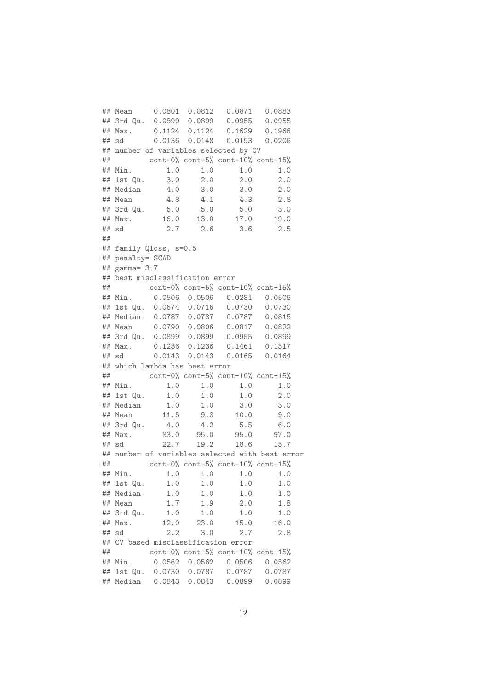## Mean 0.0801 0.0812 0.0871 0.0883 ## 3rd Qu. 0.0899 0.0899 0.0955 0.0955 ## Max. 0.1124 0.1124 0.1629 0.1966 ## sd 0.0136 0.0148 0.0193 0.0206 ## number of variables selected by CV ## cont-0% cont-5% cont-10% cont-15% ## Min. 1.0 1.0 1.0 1.0 ## 1st Qu. 3.0 2.0 2.0 2.0 ## Median 4.0 3.0 3.0 2.0 ## Mean 4.8 4.1 4.3 2.8 ## 3rd Qu. 6.0 5.0 5.0 3.0 ## Max. 16.0 13.0 17.0 19.0<br>## sd 2.7 2.6 3.6 2.5 ## sd 2.7 2.6 3.6 2.5 ## ## family Qloss, s=0.5 ## penalty= SCAD ## gamma= 3.7 ## best misclassification error ## cont-0% cont-5% cont-10% cont-15% ## Min. 0.0506 0.0506 0.0281 0.0506 ## 1st Qu. 0.0674 0.0716 0.0730 0.0730 ## Median 0.0787 0.0787 0.0787 0.0815 ## Mean 0.0790 0.0806 0.0817 0.0822 ## 3rd Qu. 0.0899 0.0899 0.0955 0.0899 ## Max. 0.1236 0.1236 0.1461 0.1517 ## sd 0.0143 0.0143 0.0165 0.0164 ## which lambda has best error ## cont-0% cont-5% cont-10% cont-15% 4 # Min. 1.0 1.0 1.0 1.0<br>
4 # 1st Qu. 1.0 1.0 1.0 2.0<br>
4 # Median 1.0 1.0 3.0 3.0 ## 1st Qu. 1.0 1.0 1.0 2.0 ## Median 1.0 1.0 3.0 3.0 ## Mean 11.5 9.8 10.0 9.0 ## 3rd Qu. 4.0 4.2 5.5 6.0 ## Max. 83.0 95.0 95.0 97.0 22.7 19.2 18.6 15.7 ## number of variables selected with best error ## cont-0% cont-5% cont-10% cont-15% ## Min. 1.0 1.0 1.0 1.0 ## 1st Qu. 1.0 1.0 1.0 1.0 ## Median 1.0 1.0 1.0 1.0 ## Mean 1.7 1.9 2.0 1.8 ## 3rd Qu. 1.0 1.0 1.0 1.0 ## Max. 12.0 23.0 15.0 16.0 ## sd 2.2 3.0 2.7 2.8 ## CV based misclassification error ## cont-0% cont-5% cont-10% cont-15% 0.0562 0.0562 0.0506 0.0562 ## 1st Qu. 0.0730 0.0787 0.0787 0.0787 ## Median 0.0843 0.0843 0.0899 0.0899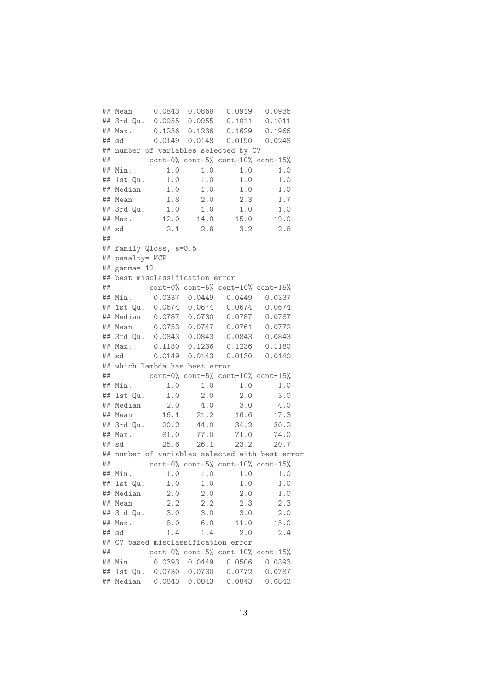## Mean 0.0843 0.0868 0.0919 0.0936 ## 3rd Qu. 0.0955 0.0955 0.1011 0.1011 ## Max. 0.1236 0.1236 0.1629 0.1966 ## sd 0.0149 0.0148 0.0190 0.0248 ## number of variables selected by CV ## cont-0% cont-5% cont-10% cont-15% ## Min. 1.0 1.0 1.0 1.0 ## 1st Qu. 1.0 1.0 1.0 1.0 ## Median 1.0 1.0 1.0 1.0 ## Mean 1.8 2.0 2.3 1.7 ## 3rd Qu. 1.0 1.0 1.0 1.0 ## Max. 12.0 14.0 15.0 19.0<br>## sd 2.1 2.8 3.2 2.8 ## sd 2.1 2.8 3.2 2.8 ## ## family Qloss, s=0.5 ## penalty= MCP ## gamma= 12 ## best misclassification error ## cont-0% cont-5% cont-10% cont-15% ## Min. 0.0337 0.0449 0.0449 0.0337 ## 1st Qu. 0.0674 0.0674 0.0674 0.0674 ## Median 0.0787 0.0730 0.0787 0.0787 ## Mean 0.0753 0.0747 0.0761 0.0772 ## 3rd Qu. 0.0843 0.0843 0.0843 0.0843 ## Max. 0.1180 0.1236 0.1236 0.1180 ## sd 0.0149 0.0143 0.0130 0.0140 ## which lambda has best error ## cont-0% cont-5% cont-10% cont-15% 4 # Min. 1.0 1.0 1.0 1.0<br>
4 # 1st Qu. 1.0 2.0 2.0 3.0<br>
4 # Median 2.0 4.0 3.0 4.0 ## 1st Qu. 1.0 2.0 2.0 3.0 ## Median 2.0 4.0 3.0 4.0 ## Mean 16.1 21.2 16.6 17.3 ## 3rd Qu. 20.2 44.0 34.2 30.2 ## Max. 81.0 77.0 71.0 74.0 25.6 26.1 23.2 20.7 ## number of variables selected with best error ## cont-0% cont-5% cont-10% cont-15% ## Min. 1.0 1.0 1.0 1.0 ## 1st Qu. 1.0 1.0 1.0 1.0 ## Median 2.0 2.0 2.0 1.0 ## Mean 2.2 2.2 2.3 2.3 ## 3rd Qu. 3.0 3.0 3.0 2.0 ## Max. 8.0 6.0 11.0 15.0 ## sd 1.4 1.4 2.0 2.4 ## CV based misclassification error ## cont-0% cont-5% cont-10% cont-15% 0.0393 0.0449 0.0506 0.0393 ## 1st Qu. 0.0730 0.0730 0.0772 0.0787 ## Median 0.0843 0.0843 0.0843 0.0843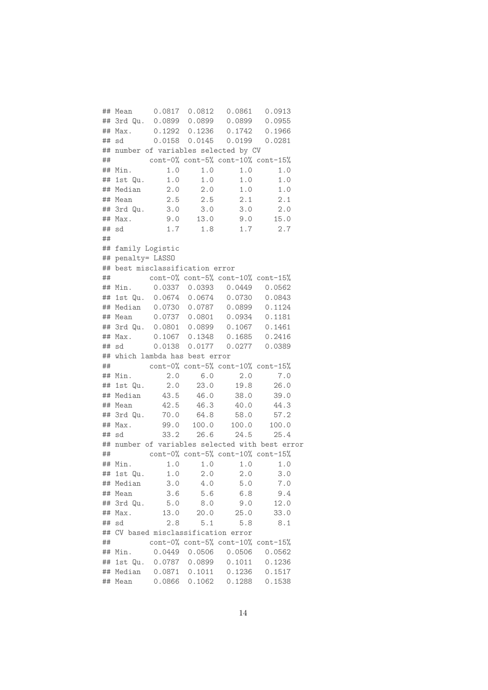## Mean 0.0817 0.0812 0.0861 0.0913 ## 3rd Qu. 0.0899 0.0899 0.0899 0.0955 ## Max. 0.1292 0.1236 0.1742 0.1966 ## sd 0.0158 0.0145 0.0199 0.0281 ## number of variables selected by CV ## cont-0% cont-5% cont-10% cont-15% ## Min. 1.0 1.0 1.0 1.0 ## 1st Qu. 1.0 1.0 1.0 1.0 ## Median 2.0 2.0 ## Mean 2.5 2.5 2.1 2.1 ## 3rd Qu. 3.0 3.0 3.0 2.0 ## Max. 9.0 13.0 9.0 15.0 ## sd 1.7 1.8 1.7 2.7 ## ## family Logistic ## penalty= LASSO ## best misclassification error ## cont-0% cont-5% cont-10% cont-15% ## Min. 0.0337 0.0393 0.0449 0.0562 ## 1st Qu. 0.0674 0.0674 0.0730 0.0843 ## Median 0.0730 0.0787 0.0899 0.1124 ## Mean 0.0737 0.0801 ## 3rd Qu. 0.0801 0.0899 0.1067 0.1461 ## Max. 0.1067 0.1348 0.1685 0.2416 ## sd 0.0138 0.0177 0.0277 0.0389 ## which lambda has best error ## cont-0% cont-5% cont-10% cont-15% ## Min. 2.0 6.0 2.0 7.0 ## 1st Qu. 2.0 23.0 19.8 26.0 ## Median 43.5 46.0 38.0 39.0 ## Mean 42.5 46.3 40.0 44.3 ## 3rd Qu. 70.0 64.8 58.0 57.2 ## Max. 99.0 100.0 100.0 100.0 ## sd 33.2 26.6 24.5 25.4 ## number of variables selected with best error  $cont-0$ % cont-5% cont-10% cont-15% ## Min. 1.0 1.0 1.0 1.0 ## 1st Qu. 1.0 2.0 2.0 3.0 ## Median 3.0 4.0 5.0 7.0 ## Mean 3.6 5.6 6.8 9.4 ## 3rd Qu. 5.0 8.0 9.0 12.0 ## Max. 13.0 20.0 25.0 33.0 ## sd 2.8 5.1 5.8 8.1 ## CV based misclassification error ## cont-0% cont-5% cont-10% cont-15% ## Min. 0.0449 0.0506 0.0506 0.0562 ## 1st Qu. 0.0787 0.0899 0.1011 0.1236 ## Median 0.0871 0.1011 0.1236 0.1517 ## Mean 0.0866 0.1062 0.1288 0.1538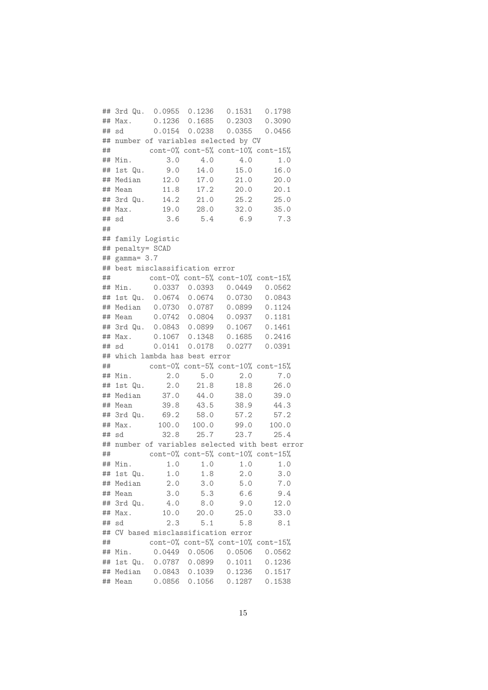## 3rd Qu. 0.0955 0.1236 0.1531 0.1798 ## Max. 0.1236 0.1685 0.2303 0.3090 ## sd 0.0154 0.0238 0.0355 0.0456 ## number of variables selected by CV ## cont-0% cont-5% cont-10% cont-15% ## Min. 3.0 4.0 4.0 1.0 ## 1st Qu. 9.0 14.0 15.0 16.0 ## Median 12.0 17.0 21.0 20.0 11.8 17.2 20.0 20.1 ## 3rd Qu. 14.2 21.0 25.2 25.0 19.0 28.0 32.0 35.0 ## sd 3.6 5.4 6.9 7.3 ## ## family Logistic ## penalty= SCAD ## gamma= 3.7 ## best misclassification error ## cont-0% cont-5% cont-10% cont-15% ## Min. 0.0337 0.0393 0.0449 0.0562 ## 1st Qu. 0.0674 0.0674 0.0730 0.0843 ## Median 0.0730 0.0787 0.0899 0.1124 ## Mean 0.0742 0.0804 0.0937 0.1181 ## 3rd Qu. 0.0843 0.0899 0.1067 0.1461 ## Max. 0.1067 0.1348 0.1685<br>## sd 0.0141 0.0178 0.0277 0.0141 0.0178 0.0277 0.0391 ## which lambda has best error ## cont-0% cont-5% cont-10% cont-15% ## Min. 2.0 5.0 2.0 7.0 ## 1st Qu. 2.0 21.8 18.8 26.0 ## Median 37.0 44.0 38.0 39.0 ## Mean 39.8 43.5 38.9 44.3 ## 3rd Qu. 69.2 58.0 57.2 57.2 ## Max. 100.0 100.0 99.0 100.0 ## sd 32.8 25.7 23.7 25.4 ## number of variables selected with best error  $cont-0$ % cont-5% cont-10% cont-15% ## Min. 1.0 1.0 1.0 1.0 ## 1st Qu. 1.0 1.8 2.0 3.0 ## Median 2.0 3.0 5.0 7.0 ## Mean 3.0 5.3 6.6 9.4 ## 3rd Qu. 4.0 8.0 9.0 12.0 ## Max. 10.0 20.0 25.0 33.0 ## sd 2.3 5.1 5.8 8.1 ## CV based misclassification error ## cont-0% cont-5% cont-10% cont-15% ## Min. 0.0449 0.0506 0.0506 0.0562 ## 1st Qu. 0.0787 0.0899 0.1011 ## Median 0.0843 0.1039 0.1236 0.1517 ## Mean 0.0856 0.1056 0.1287 0.1538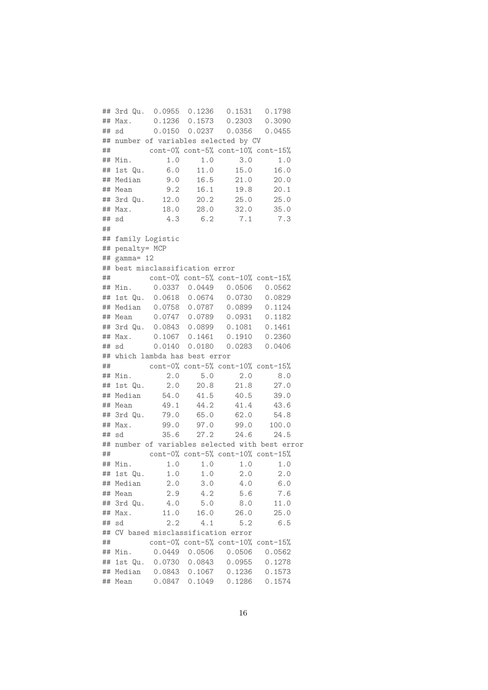## 3rd Qu. 0.0955 0.1236 0.1531 0.1798 ## Max. 0.1236 0.1573 0.2303 0.3090 ## sd 0.0150 0.0237 0.0356 0.0455 ## number of variables selected by CV ## cont-0% cont-5% cont-10% cont-15% ## Min. 1.0 1.0 3.0 1.0 ## 1st Qu. 6.0 11.0 15.0 16.0 ## Median 9.0 16.5 21.0 20.0 9.2 16.1 19.8 20.1 ## 3rd Qu. 12.0 20.2 25.0 25.0 ## Max. 18.0 28.0 32.0 35.0 ## sd 4.3 6.2 7.1 7.3 ## ## family Logistic ## penalty= MCP ## gamma= 12 ## best misclassification error ## cont-0% cont-5% cont-10% cont-15% ## Min. 0.0337 0.0449 0.0506 0.0562 ## 1st Qu. 0.0618 0.0674 0.0730 0.0829 ## Median 0.0758 0.0787 0.0899 0.1124 ## Mean 0.0747 0.0789 ## 3rd Qu. 0.0843 0.0899 0.1081 0.1461 ## Max. 0.1067 0.1461 0.1910 0.2360 ## sd 0.0140 0.0180 0.0283 0.0406 ## which lambda has best error ## cont-0% cont-5% cont-10% cont-15% 2.0 5.0 2.0 8.0 ## 1st Qu. 2.0 20.8 21.8 27.0 ## Median 54.0 41.5 40.5 39.0 ## Mean 49.1 44.2 41.4 43.6 ## 3rd Qu. 79.0 65.0 62.0 54.8 ## Max. 99.0 97.0 99.0 100.0 ## sd 35.6 27.2 24.6 24.5 ## number of variables selected with best error  $cont-0$ % cont-5% cont-10% cont-15% ## Min. 1.0 1.0 1.0 1.0 ## 1st Qu. 1.0 1.0 2.0 2.0 ## Median 2.0 3.0 4.0 6.0<br>## Mean 2.9 4.2 5.6 7.6 ## Mean 2.9 4.2 5.6 7.6 ## 3rd Qu. 4.0 5.0 8.0 11.0 ## Max. 11.0 16.0 26.0 25.0 ## sd 2.2 4.1 5.2 6.5 ## CV based misclassification error ## cont-0% cont-5% cont-10% cont-15% ## Min. 0.0449 0.0506 0.0506 0.0562 ## 1st Qu. 0.0730 0.0843 0.0955 0.1278 ## Median 0.0843 0.1067 0.1236 0.1573 ## Mean 0.0847 0.1049 0.1286 0.1574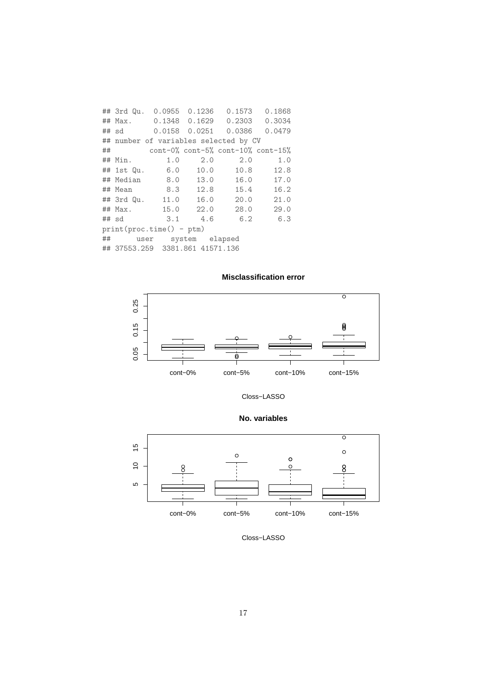|                            |                                       |     |     | ## 3rd Qu. 0.0955 0.1236 0.1573               | 0.1868 |
|----------------------------|---------------------------------------|-----|-----|-----------------------------------------------|--------|
|                            |                                       |     |     | ## Max. 0.1348 0.1629 0.2303 0.3034           |        |
|                            |                                       |     |     | ## sd 0.0158 0.0251 0.0386                    | 0.0479 |
|                            | ## number of variables selected by CV |     |     |                                               |        |
|                            | $\#$ $+$                              |     |     | $cont-0$ % $cont-5$ % $cont-10$ % $cont-15$ % |        |
|                            | ## Min.                               | 1.0 | 2.0 | 2.0                                           | 1.0    |
|                            |                                       |     |     | ## 1st Qu. 6.0 10.0 10.8                      | 12.8   |
|                            |                                       |     |     | ## Median 8.0 13.0 16.0                       | 17.0   |
|                            |                                       |     |     | ## Mean 8.3 12.8 15.4                         | 16.2   |
|                            |                                       |     |     | ## 3rd Qu. 11.0 16.0 20.0                     | 21.0   |
|                            | ## Max. 15.0 22.0                     |     |     | 28.0                                          | 29.0   |
|                            |                                       |     |     | ## sd 3.1 4.6 6.2                             | 6.3    |
| $print(proc.time() - ptm)$ |                                       |     |     |                                               |        |
|                            | $\#$ #<br>user system elapsed         |     |     |                                               |        |
|                            | ## 37553.259 3381.861 41571.136       |     |     |                                               |        |

 $\overline{\circ}$ 0.15 0.25 0.05 0.15 0.25 ●●● ● ● ●  $0.05$ ●● cont−0% cont−5% cont−10% cont−15%







**No. variables**

Closs−LASSO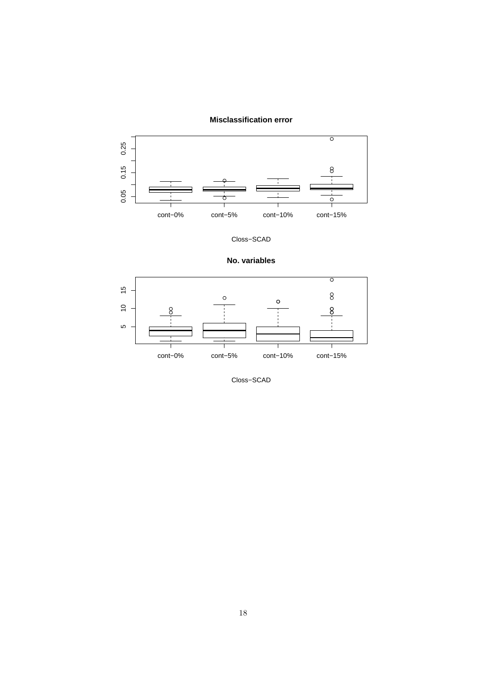

Closs−SCAD





Closs−SCAD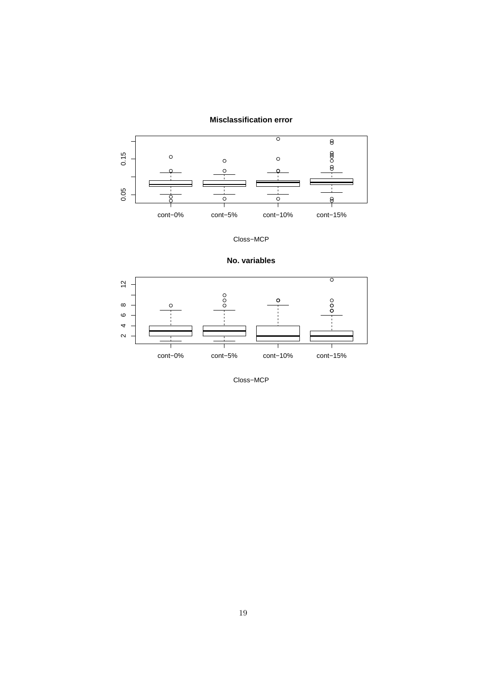

Closs−MCP





Closs−MCP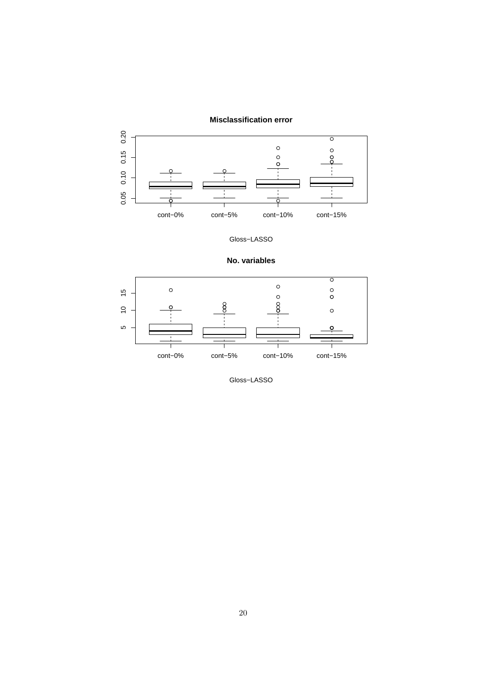

Gloss−LASSO





Gloss−LASSO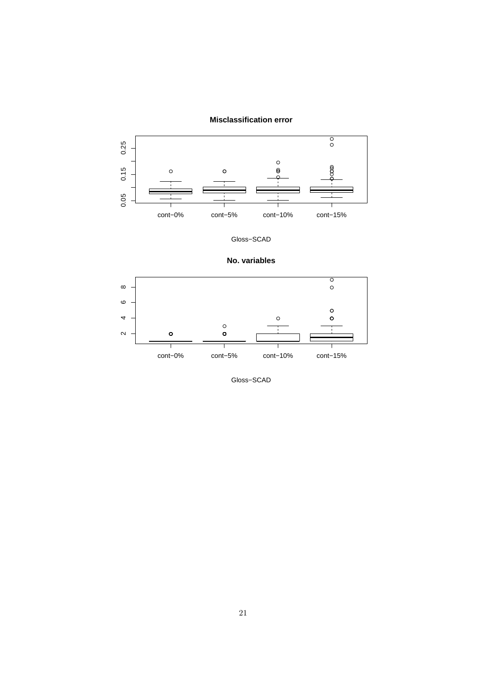

Gloss−SCAD





Gloss−SCAD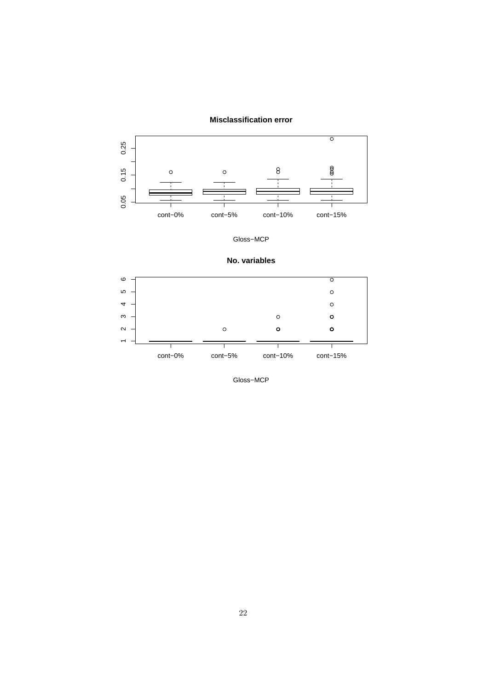

Gloss−MCP





Gloss−MCP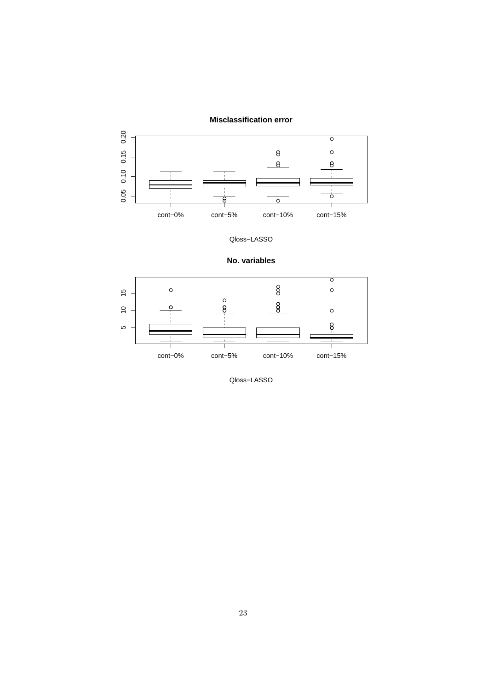

Qloss−LASSO





Qloss−LASSO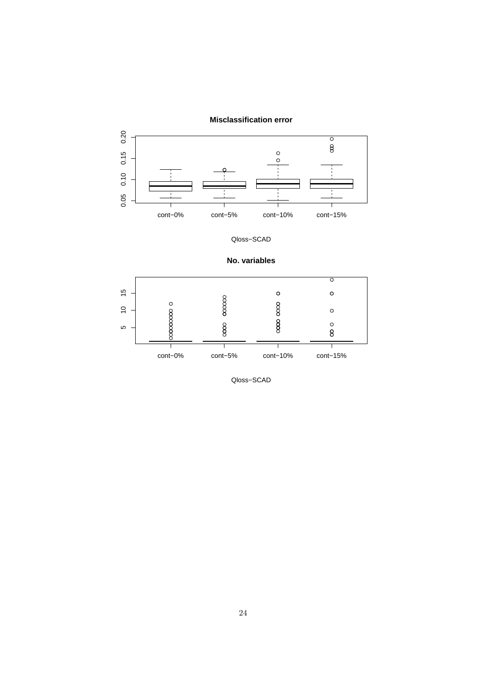

Qloss−SCAD





Qloss−SCAD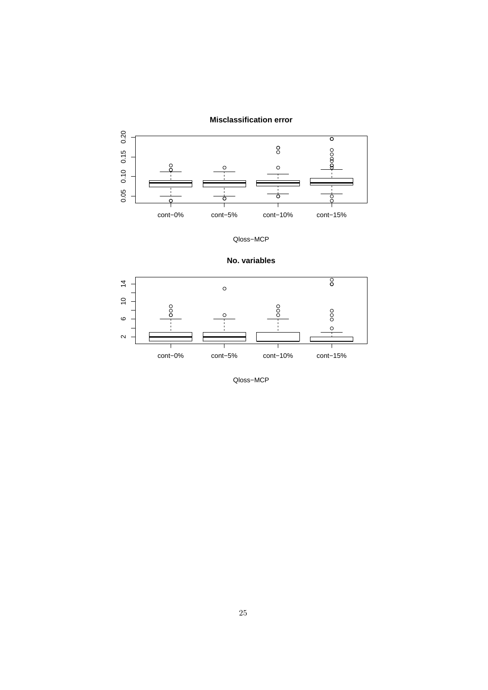

Qloss−MCP





Qloss−MCP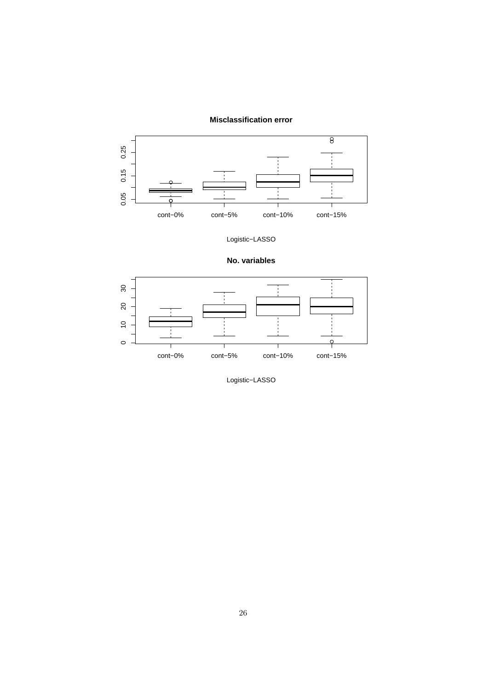







Logistic−LASSO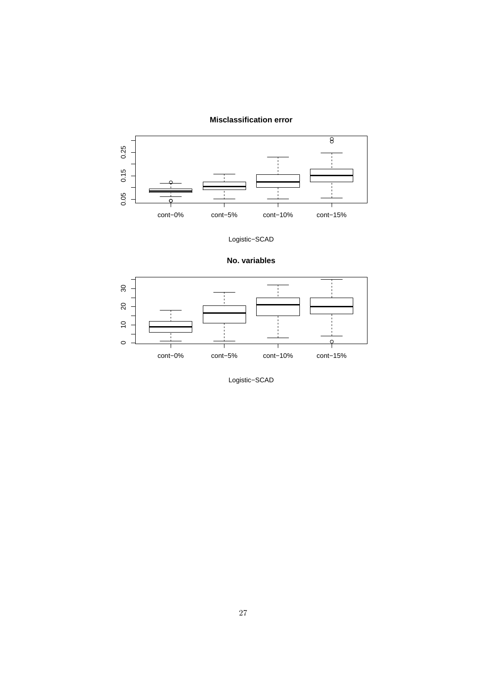







Logistic−SCAD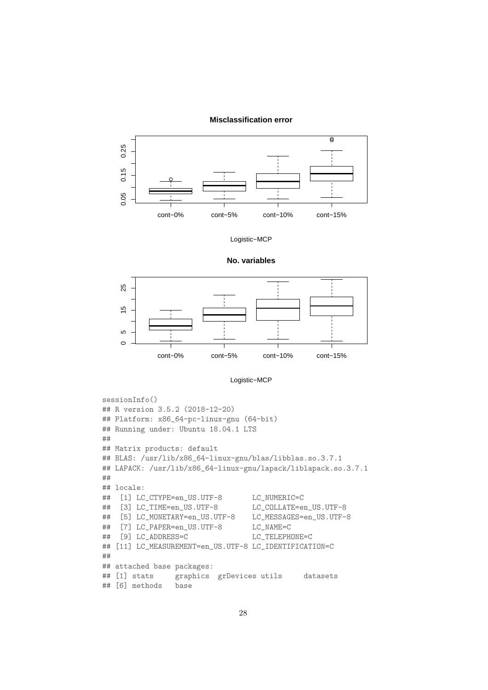

Logistic−MCP





```
Logistic−MCP
```

```
sessionInfo()
## R version 3.5.2 (2018-12-20)
## Platform: x86_64-pc-linux-gnu (64-bit)
## Running under: Ubuntu 18.04.1 LTS
##
## Matrix products: default
## BLAS: /usr/lib/x86_64-linux-gnu/blas/libblas.so.3.7.1
## LAPACK: /usr/lib/x86_64-linux-gnu/lapack/liblapack.so.3.7.1
##
## locale:
## [1] LC_CTYPE=en_US.UTF-8 LC_NUMERIC=C
## [3] LC_TIME=en_US.UTF-8
## [5] LC_MONETARY=en_US.UTF-8 LC_MESSAGES=en_US.UTF-8
## [7] LC_PAPER=en_US.UTF-8 LC_NAME=C
## [9] LC_ADDRESS=C LC_TELEPHONE=C
## [11] LC_MEASUREMENT=en_US.UTF-8 LC_IDENTIFICATION=C
##
## attached base packages:
## [1] stats graphics grDevices utils datasets
## [6] methods
```